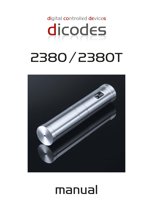

# 2380 / 2380T



# manual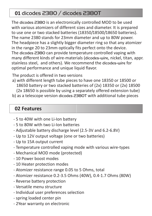## **01** dicodes 2380 / dicodes 2380T

The dicodes 2380 is an electronically controlled MOD to be used with various atomizers of different sizes and diameter. It is prepared to use one or two stacked batteries (18350/18500/18650 batteries). The name 2380 stands for 23mm diameter and up to 80W power. The headpiece has a slightly bigger diameter ring so that any atomizer in the range 20 to 23mm optically fits perfect onto the device. The dicodes 2380 can provide temperature controlled vaping with many different kinds of wire-materials (dicodes-wire, nickel, titan, appr. stainless steel, and others). We recommend the dicodes-wire for optimal performance and unique liquid flavor.

The product is offered in two versions

a) with different length tube pieces to have one 18350 or 18500 or 18650 battery or two stacked batteries of (2x) 18350 or (2x) 18500 (2x 18650 is possible by using a separately offered extension tube)

b) as a telescope version dicodes 2380T with additional tube pieces

## **02 Features**

- 5 to 40W with one Li-Ion battery
- 5 to 80W with two Li-Ion batteries
- Adjustable battery discharge level (2.5-3V and 6.2-6.8V)
- Up to 12V output voltage (one or two batteries)
- Up to 15A output current
- Temperature controlled vaping mode with various wire-types
- Mechanical MOD mode (protected)
- 10 Power boost modes
- 10 Heater protection modes
- Atomizer resistance range 0.05 to 5 Ohms, total
- Atomizer resistance 0.2-3.5 Ohms (40W), 0.4-1.7 Ohms (80W)
- Reverse battery protection
- Versatile menu structure
- Individual user preferences selection
- spring loaded center pin
- 2Year warranty on electronic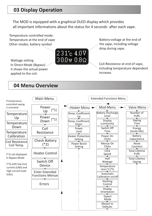### **03 Display Operation**

The MOD is equipped with a graphical OLED display which provides all important informations about the status for 4 seconds after each vape.



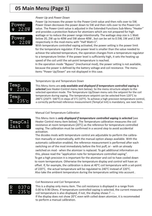### **05 Main Menu (Page 1)**

### *Power Up and Power Down*



Power Up increases the power to the Power-Limit value and then rolls over to 5W. Power Down decreases the power down to 5W and then rolls over to the Power-Lim value. The Power-Limit value is adjusted in the Extended Functions Sub-Menu "Heater" and provides a protection feature for atomizers which are not prepared for high wattage or to reduce the power range intentionally. The wattage step size is 1 Watt below 20, 2W up to 40W and 5W above 40W , but can be set to 0.5W, 1W and 2.5W respectively in the mod-menu with "Half Watt=1".

With temperature controlled vaping activated, the power setting is the power limit for the temperature regulator. If the power level is smaller than the value needed to achieve the selected temperature, the operation changes from a temperature regulator to a temperature limiter. If the power level is sufficiently high, it sets the heating up speed of the coil until the set-point temperature is reached.

In the operation mode "Bypass" (mechanical mod), the power setting is not available, because the power is defined by the battery voltage and coil resistance. The menu items "Power Up/Down" are not displayed in this case.



#### Temperature Up and Temperature Down

This Menu items are *only available and displayed if temperature controlled vaping is* selected (see Heater-Control menu item below). So the menu structure adapts to the selected operation mode. The Temperature Up/Down menu sets the setpoint for the coil temperature during vaping. The temperature setpoint can be selected from 120°C to 280°C (250°F- 540°F) in steps of 5°C (10°F). To achieve a high precision temperature control, a correctly performed reference measurement (TempCal Init) is mandatory, see next item.

### Manual Coil Temperature Calibration



This Menu item is *only displayed if temperature controlled vaping is selected* (see Heater Control menu item below). The Temperature calibration measures the coil resistance at room temperature (20°C) as the reference for temperature controlled vaping. The calibration must be confirmed in a second step to avoid accidential activation.

The dicodes mods with temperature control are adjustable to perform the calibration manually or automatically, with the manual option always available. With the automatic calibration enabled, the reference measurement is performed after each switching on of the mod immediately before the first puff, or - with an already switched on mod - when the atomizer is replaced. To get additional information on this, please read the "application note for temperature controlled vaping". To get a high precision it is important for the atomizer and coil to have cooled down to room termperature. Otherwise the temperature display and control will have an offset. If, for example, the calibration is done at 40°C coil temperature with a set-point of 220°C, the actual temperature will be regulated to 240°C instead of 220°C. Also take the ambient temperature during the temperature setting into account.

Coil Resistance and Coil Temperature

This is a display only menu item. The coil resistance is displayed in a range from 0.00 to 9.90 Ohms. If temperature controlled vaping is selected, the current measured coil temperature is also displayed, if not, the display shows T ---. If the display does not show 20°C even with colled down atomizer, it is recommeded to perform a manual calibration.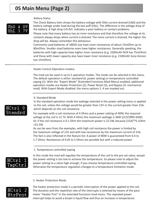### **05 Main Menu (Page 2)**

#### Battery Status

# W60

The Check Battery item shows the battery voltage with little current drained (Ub0) and the battery voltage under load during the last puff (UbL). The difference is the voltage drop of the battery. A high drop (>0.4V) indicates a poor battery or contact problems.

Please note that every battery has an inner resistance and that therefore the voltage at its contacts always drops when current is drained. The more current is drained, the higher the drop will be. Always remember this behaviour.

Commonly used batteries of 18650 size have inner resistances of about 15mOhm up to 80mOhm. Smaller sized batteries even have higher resistances. Generally speaking, the batteries with high capacity have higher inner resistance (e.g. 2500mAh NCR has 75mOhm) and those with lower capacity also have lower inner resistance (e.g. 2100mAh Sony Konion has 15mOhm).

#### Heater Control (Operation modes)

The mod can be used in up to 5 operation modes. The mode can be selected in this menu. The default operation is either standard (0, power setting) or temperature controlled vaping (1). With the "Expert Mode" (Extended Functions Mod-Menu) enabled, additional operation modes are Heater Protection (2), Power Boost (3), and Bypass (4, mechanical mod). With Expert Mode disabled, the menu options 2..4 are masked out.

### 0. Standard Mode

In the standard operation mode the wattage selected in the power setting menu is applied to the coil, unless the voltage would be greater than 12V or the current greater than 15A, which depends on the coil resistance.

For example with a coil resistance of 4 Ohms and a power setting of 40W, the required voltage at the coil is 12.7V. With 4 Ohms the maximum wattage is 36W ((12V)²/4R=36W). Or, if the coil resistance is 0.1 Ohm the maximum power is 22.5W, because  $(15A)^{2*}0.10$ hm  $=22.5W.$ 

As can be seen from the examples, with high coil resistance the power is limited by the maximum voltage of 12V and with low resistances by the maximum current of 15A. The fact is also reflected in the feature list: A power of 80W is guaranteed from 0.4 to 1.7 Ohms. Resistances of 0.05 to 5 Ohms are possible but with a reduced power.

### 1. Temperature controlled vaping



In this mode the mod will regulate the temperature of the coil to the pre-set value, except the power setting is too low to achieve the temperature. So please note to adjust the power setting to a value high enough, if you choose temperature controlled vaping. Otherwise the temperature regulation changes to a temperature limitation mode.

#### 2. Heater Protection Mode



The heater protection mode is a periodic interruption of the power applied to the coil. The duration and the repetition rate of the interrupts is selected by means of the parameter "Heater Prot" in the extended functions mod-menu. The repeated power interrupt helps to avoid a break in liquid flow and thus an increase in temperature.

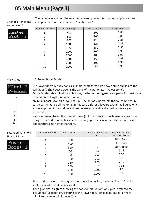## **05 Main Menu (Page 3)**

Extended Functions Heater Menü

Heater

The table below shows the relation between power interrupt and appliance time in dependence of the parameter "Heater Prot":

| Value Heater Prot | On-Time [ms] | Off-Time [ms] | Powerfactor |
|-------------------|--------------|---------------|-------------|
| 1                 | 400          | 100           | 0.80        |
| 2                 | 600          | 100           | 0.86        |
| 3                 | 800          | 110           | 0.88        |
| 4                 | 1000         | 120           | 0.89        |
| 5                 | 1350         | 150           | 0.90        |
| 6                 | 2000         | 200           | 0.91        |
| 7                 | 2000         | 180           | 0.92        |
| 8                 | 2000         | 150           | 0.93        |
| 9                 | 2000         | 100           | 0.95        |
| 10                | 2000         | 80            | 0.96        |

### Main Menu

HCtrl

Boost

Parameter

### 3. Power Boost Mode



An initial boost is for quick coil heat-up. The periodic boost lets the coil temperature pass a certain range all the time. In this case different flavours within the liquid, which all develop their taste at different temperatures, are all addressed by the varying temperature.

We recommend to set the normal power (not the boost) to much lower values, when using the periodic boost, because the average power is increased by the boosts and temperature gets higher therefore.

Extended Functions Heater Menu



| Wert Power Boost | Boostzeit [ms] | Zeit auf Nennleistung<br>[ms] | <b>Effektive Leistung</b><br>(bei 5W Nennleistung) |
|------------------|----------------|-------------------------------|----------------------------------------------------|
| 1                | 300            |                               | Start-Boost                                        |
| 2                | 450            |                               | Start-Boost                                        |
| 3                | 600            |                               | Start-Boost                                        |
| 4                | 50             | 500                           | 6.18                                               |
| 5                | 80             | 600                           | 6.53                                               |
| 6                | 120            | 700                           | 6.9                                                |
|                  | 160            | 800                           | 7.17                                               |
| 8                | 200            | 900                           | 7.36                                               |
| 9                | 250            | 1000                          | 7.6                                                |
| 10               | 300            | 1000                          | 8.0                                                |
|                  |                |                               |                                                    |

Note: If the power setting equals the power limit value, the boost has no function, as it is limited to that value as well.

For a graphical diagram showing the boost operation options, please refer to the document "Explanations refering to the Power Boost on dicodes mods" or have a look to the manual of model Tiny.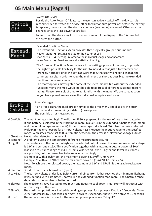### **05 Main Menu (Page 4)**

### Switch Off Device



Beside the Auto-Power-Off feature, the user can actively switch off the device. It is recommended to switch the device off or to wait for auto-power-off, before the battery is replaced, because then the statistic counters (see below) are saved. Otherwise the changes since the last power up are lost.

To switch off the device wait on this menu item until the display of the 0 is inverted, the press the button.



### Extended Functions Menu

The Extended Functions Menu provides three logically grouped sub-menues:

Heater Menu  $\Rightarrow$  Settings related to the heater or coil

Mod Menu  $\Rightarrow$  Settings related to the individual usage and appearance

Value Menu  $\Rightarrow$  Provides several statistics of vaping

The Extended Functions Menu offers a lot of setting options of the mod, to provide the highest possible flexibility for the user to individually adjust it to whatever preferences. Normally, once the settings were made, the user will need to change the parameter rarely. In order to keep the main menu as short as possible, the extended functions menu was created.

The many options may frighten some of the users initially. But without the extended functions menu the mod would not be able to address all different customer requirements. Please take a bit of time to get familiar with the menu. We are sure, as soon as you have gained an overview, the individual setup is a walk-over.



### Error Messages

If an error occurs, the mod directly jumps to the error menu and displays the error number and a mnemonic (short-term) description. The possible error messages are:

- 0 OvrVolt: The input voltage is too high. The dicodes 2380 is prepared for the use of one or two batteries. If one battery is selected in the stack mode menu (value=1) in the extended functions mod-menu, and the input voltage exceeds 4.5V, this error message is displayed. With two batteries selected (value=2), the error occurs for an input voltage >8.6V.Reduce the input voltage to the specified range. With stack mode set to 0 (automatic detection) the error is dsplayed for voltages >8.6V. 1 ChkAtom: No atomizer detected or open coil.
- 2 TempRef: A problem during the temperature reference measurement occured
- 3 HighR: The resistance of the coil is too high for the selected output power. The maximum output voltage is 12V and current is 15A. This specification together with a maximum output power of 80W leads to a resistance range of 0.4-1.7 Ohms. Also see "8 LowR". Higher and lower resistances are possible, but the power has to be reduced accordingly.
	- Example 1: With a 40hm coil the maximum power is (12V)<sup>2</sup>/4 Ohm=36W.

Example 2: With a 0.120hm coil the maximum power is  $(15A)^{2*}0.12$  Ohm= 27W.

Note: To achieve the selected power, the maximum of 12V and 15A limit the usable resistance range.

- 4 OverCur: Short on coil or coil breakdown (open)
- 5 LowBat: The battery voltage under load (with current drained from it) has reached the minimum discharge level, defined with parameter UbatMin in the extended function mod-menu. The Ubatmin range depends o nthe number of batteries used.
- 6 EleHot: The electronics have heated up too much and needs to cool down. This error will not occur with normal usage of the mod.

7 TimeOut: The maximum puff-time is limited depending on power. For a power <20W it is 20seconds. Above 20W it decreases by 0.5seconds per Watt, down to 10seconds. Above 40W it stays at 10 seconds.

8 LowR: The coil resistance is too low for the selected power, please see "3 HighR".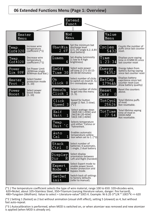**06 Extended Functions Menu (Page 1: Overview)**



(\*1 ) The temperature coefficient selects the type of wire material, range 100 to 650: 320=dicodes-wire, 620=Nickel, about 105=Stainless Steel, 350=Titanium (varying literature values, danger: fire harzard), 480=Tungsten (Wolfram). Value to select = Literature-value\*10E5 K. Example: Ni 6.2E-3\*1/K \* 10E5\*K => 620

(\*2 ) Setting 1 (fastest) as 2 but without animation (visual shift effect), setting 5 (slowest) as 4, but without fast auto-repeat.

(\*3 ) Autocalibration is performed, when MOD is switched on, or when atomizer was removed and new atomizer is applied (when MOD is already on).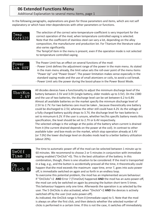In the following paragraphs, explanations are given for those parameters and items, which are not self explanatory or which have inter-dependencies with other parameters or functions.

| $\mathsf{Temp.}\setminus$<br>$Cof$ $\gamma$ 320 | The selection of the correct wire-temperature-coefficient is very important for the<br>correct operation of the mod, when temperature controlled vaping is selected.<br>Note that the coefficient of stainless steel can vary a lot, depending on the alloy<br>composition, the manufacturer and production lot. For Titanium the literature value<br>also varies significantly. |
|-------------------------------------------------|----------------------------------------------------------------------------------------------------------------------------------------------------------------------------------------------------------------------------------------------------------------------------------------------------------------------------------------------------------------------------------|
|                                                 | The TempCof item in the menu is present, even if the operation mode is not selected                                                                                                                                                                                                                                                                                              |

to temperature controlled vaping.

### Power Lim 80W

The Power Limit has an effect on several functions of the mod:

- Power Limit defines the adjustment range of the power in the main menu. As stated in the main menu already, the limit value sets the roll-over point of the menu items "Power Up" und "Power Down". The power limitation makes sense especially in the standard vaping mode and the use of small atomizers or coils, to avoid a coil break. - Power Limit sets the power during the boost-phase in the Power Boost Mode.

### UbatMin  $2.6V$

All dicodes devices have a functionality to adjust the minimum discharge level of the battery between 2.5V and 3.0V (single battery, older models up to 3.5V). On the 2380 and the use of two batteries, the discharge level can be set between 6.2 to 6.8V. Almost all available batteries on the market specify the minmum discharge level of 2.5V to 2.7V. For two batteries care must be taken , because theoretically one battery could be discharged to 2.5V, whereas the other still could have 4.2V. As the voltage of a fully charged battery quickly drops to 3.7V, the discharge level for two batteries is set to minumum 6.2V. If the user is unsure, whether her/his specific battery meets this specification, the level should be set to 2.7V or 6.4V respectively. The selected voltage is the voltage at the poles of the battery when current is drained from it (the current drained depends on the power at the coil). In contrast to other available tube- and box-mods on the market, which stop operation already at 3.4V (or 7.0V) the lower discharge level on dicodes mods lead to a better battery utilization (about 20%).

### ∃ີ¤Of f  $m = 30$



The time to automatic power off of the mod can be selected between 1 minute up to 60 minutes. We recommend to choose 2 or 5 minutes in conjunction with immediate vaping enabled ("OnClick"=0). This is the best utilization of the battery. In this combination, though, there is one situation to be considered: If the mod is transported in a bag, e.g., and the button is accidentially pressed all the time, it theoretically could happen that the mod exceeds the maximum vape time, error 7, goes into auto power off, is immediatle switched on again and so forth in an endless loop.

To overcome this potential problem, the mod has an implemented secure behaviour: If "OnClicks"<2 AND Error 7 (TimeOut) happened AND the mod has an auto-power-off, the mod can only be switched on again by pressing the button short term 5 times. This behaviour happens only one time. Afterwards the operation is as selected by the user. The 5 OnClicks is also activated, when "Onclick"<2 AND the devices is actively switched off by the user (not auto-power-off).

As indicated, the OnClick range is from 0 (immediate vape) to 5. Note that the mod is always on after the first click, and then detects whether the selected number of clicks is performed in a certain time. If this is not the case, it switches off immediately.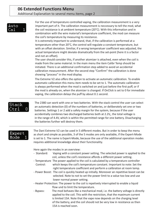### **06 Extended Functions Menu** Additional Explanation to several menu items, page 2

## Auto

For the use of temperature controlled vaping, the calibration measurement is a very important part of it. The calibration measurement is neccessary to tell the mod, what the coil resistance is at ambient temperature (20°C). With this information and in combination with the wire material's temperature coefficient, the mod can measure the coil's temperature by measuring its resistance.

It is extremely important to understand, that, if the calibration is performed at a temperature other than 20°C, the control will regulate a constant temperature, but with an offset deviation. Similiar, if a wrong temperatuer coefficient was adjusted, the actual temperature might deviate dramatically from the set-point (here it is a factor and not an offset).

The user should consider this, if another atomizer is attached, even when the coil is made from the same material. In the main menu the item Calibr Temp should be initiated. There is an additional confirmation step added to avoid an accidental calibration measurement. After the second step "Confirm" the calibration is done showing "process" in the mod display.

The Extreme V2 also offers the option to activate an automatic calibration. To enable automatic calibration this menu item needs to be set to 1. The automatic calibration is always performed when the mod is switched on and just before the first puff, or if the mod is already on, when the atomizer is changed. If OnClick is set to 0 for immediate vaping, the calibration delays the puff by about 0.1 second.



The 2380 can work with one or two batteries. With the stack control the user can select an automatic detection (0) of the numbers of batteries, or deliberately set one or two batteries. Settings 1 or 2 add a safety margin for the system, because if the user accidentially combines two discharged batteries both at 2.2V,, the total voltage is in the range of 4.4V, which is within the permitted range for one battery. Disacharging the batteries further will destroy them.

The Dani Extreme V2 can be used in 5 different modes. But in order to keep the menu as short and simple as possible, 3 of the 5 modes are only available, if the Expert-Mode is set to 1. The name is Expert-Mode, because the use of the additional operation modes requires additional knowledge about their functionality.

Here again the modes in an overview:

- Standard: Vaping with a constant power setting. The selected power is applied to the coil, unless the coil's resistance affords a different power setting.
- Temperature The power applied to the coil is calculated by a temperature controller Control: which keeps the coil's temperature constant. Important to note: Set the right temperature coefficient and perform a calibration at room temp.
- Power Boost: The coil is quickly heated up initially. Moreover an repetitive boost can be selected. Note to not to set the power limit to a value too low and use lower normal power setting.
- Heater Protection: The power to the coil is repetively interrupted to enable a liquid flow und to limit the temperature.
- Bypass: The mod behaves like a mechanical mod, i.e. the battery voltage is directly applied to the coil. This with the restriction, that the maximum current is limited 15A. Note that the vape now depends on the charging level of the battery, and the coil should not be very low in resistance as then 15A is reached soon.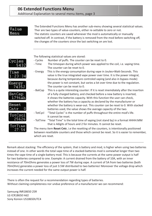### **06 Extended Functions Menu** Additional Explanation to several menu items, page 3

### Value Menu

The Extended Functions Menu has another sub-menu showing several statistical values. Ther are two types of value-counters, either re-settable to zero or not. The statistic counters are saved whenever the mod is automatically or manually switched off. In contrast, if the battery is removed from the mod before switching off, the changes of the counters since the last switching on are lost.

The following statistical values are stored: - Cycles Number of puffs. The counter can be reset to 0. Cvcles - Time The timespan during which power was applied to the coil, i.e. vaping time. 5432 The counter can be reset to 0. - Energy This is the energy consumption during vape in Joules=Watt-Seconds. This Time value is the true integrated vape power over time. It is the power integral,  $1:23:34$ because during temperature controled vaping (and also in bypass mode) Energy the power is not constant, but varies a lot over time due to the regulation. The counter can be reset to 0. - BatCap This is a quite interesting counter: If it is reset imemdiately after the insertion BatCap of a fully charged battery, and checked before a new battery is inserted, 796Ab it shows the batteries capacity. With this function the user can check, whether the battery has a capacity as declared by the manufacturer or Reset whether the battery is wear-out. This counter can be reset to 0. With stacked batteries used, the value shows the average capacity of the two. - TotCycl "Total Cycles" is the number of puffs throughout the entire mod's life.  ${\tt TotCvel}$ It cannot be reset. 25626 - TotTime "Total Time" is the total time of vaping (not stand by) in a format HHHH:MM that is 4digits of hours and 2 for minutes. It cannot be reset. TotTime The menu item Reset Cntr, i.e the resetting of the counters, is intentionally positioned  $27 \cdot 54$ between resettable counters and those which cannot be reset. So it is easier to remember,

Remark about stacking: The efficiency of the system, that is battery and mod, is higher when using two batteries instead of one. In other words the total vape time of a stacked-batteries mod is somewhat longer than two times the vape time of a single-battery mod. This is because the currents at the same power output is half for two batteries compared to one. Example: A current drained from the battery of 10A, with an inner resistance of 70mOhms generates a power loss of 7W during vape. A current of 5A from two batteries (both 70mOhm) generates a power loss of just 3.5W distributed to two batteries! Moreover the voltage drop which increases the current needed for the same output power is half.

There is often the request for a recommendation regarding types of batteries. Without claiming completeness nor undue preference of a manufacturer we can recommend:

which are reset.

Samsung INR18650 25R LG ICR18650 Hd2 Sony Konion US18650UTC4